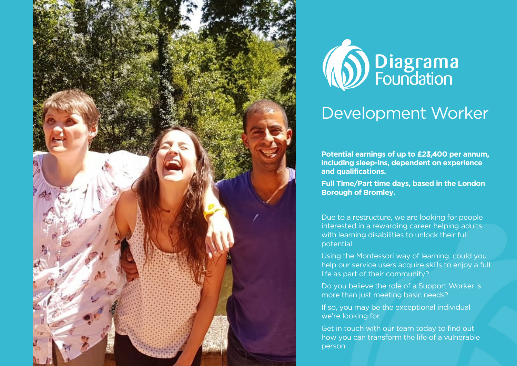



#### Development Worker

**Potential earnings of up to £23,400 per annum, including sleep-ins, dependent on experience and qualifications.**

**Full Time/Part time days, based in the London Borough of Bromley.**

Due to a restructure, we are looking for people interested in a rewarding career helping adults with learning disabilities to unlock their full potential

Using the Montessori way of learning, could you help our service users acquire skills to enjoy a full life as part of their community?

Do you believe the role of a Support Worker is more than just meeting basic needs?

If so, you may be the exceptional individual we're looking for.

Get in touch with our team today to find out how you can transform the life of a vulnerable person.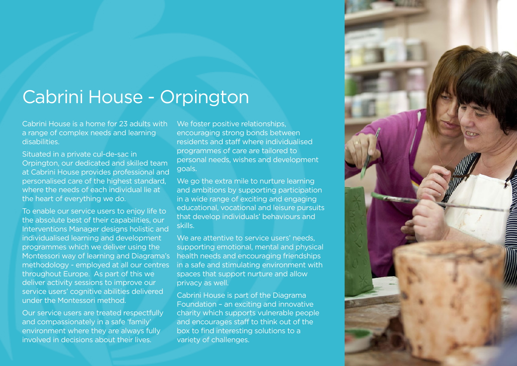#### Cabrini House - Orpington

Cabrini House is a home for 23 adults with a range of complex needs and learning disabilities.

Situated in a private cul-de-sac in Orpington, our dedicated and skilled team at Cabrini House provides professional and personalised care of the highest standard, where the needs of each individual lie at the heart of everything we do.

To enable our service users to enjoy life to the absolute best of their capabilities, our Interventions Manager designs holistic and individualised learning and development programmes which we deliver using the Montessori way of learning and Diagrama's methodology - employed at all our centres throughout Europe. As part of this we deliver activity sessions to improve our service users' cognitive abilities delivered under the Montessori method.

Our service users are treated respectfully and compassionately in a safe 'family' environment where they are always fully involved in decisions about their lives.

We foster positive relationships, encouraging strong bonds between residents and staff where individualised programmes of care are tailored to personal needs, wishes and development goals.

We go the extra mile to nurture learning and ambitions by supporting participation in a wide range of exciting and engaging educational, vocational and leisure pursuits that develop individuals' behaviours and skills.

We are attentive to service users' needs. supporting emotional, mental and physical health needs and encouraging friendships in a safe and stimulating environment with spaces that support nurture and allow privacy as well.

Cabrini House is part of the Diagrama Foundation – an exciting and innovative charity which supports vulnerable people and encourages staff to think out of the box to find interesting solutions to a variety of challenges.

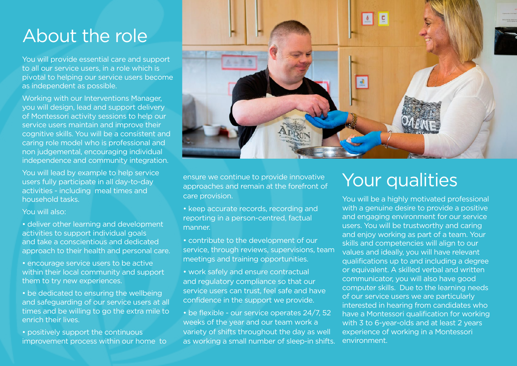## About the role

You will provide essential care and support to all our service users, in a role which is pivotal to helping our service users become as independent as possible.

Working with our Interventions Manager, you will design, lead and support delivery of Montessori activity sessions to help our service users maintain and improve their cognitive skills. You will be a consistent and caring role model who is professional and non judgemental, encouraging individual independence and community integration.

You will lead by example to help service users fully participate in all day-to-day activities - including meal times and household tasks.

#### You will also:

- deliver other learning and development activities to support individual goals and take a conscientious and dedicated approach to their health and personal care.
- encourage service users to be active within their local community and support them to try new experiences.
- be dedicated to ensuring the wellbeing and safeguarding of our service users at all times and be willing to go the extra mile to enrich their lives.
- positively support the continuous improvement process within our home to



ensure we continue to provide innovative approaches and remain at the forefront of care provision.

- keep accurate records, recording and reporting in a person-centred, factual manner.
- contribute to the development of our service, through reviews, supervisions, team meetings and training opportunities.
- work safely and ensure contractual and regulatory compliance so that our service users can trust, feel safe and have confidence in the support we provide.
- be flexible our service operates 24/7, 52 weeks of the year and our team work a variety of shifts throughout the day as well as working a small number of sleep-in shifts.

#### Your qualities

You will be a highly motivated professional with a genuine desire to provide a positive and engaging environment for our service users. You will be trustworthy and caring and enjoy working as part of a team. Your skills and competencies will align to our values and ideally, you will have relevant qualifications up to and including a degree or equivalent. A skilled verbal and written communicator, you will also have good computer skills. Due to the learning needs of our service users we are particularly interested in hearing from candidates who have a Montessori qualification for working with 3 to 6-year-olds and at least 2 years experience of working in a Montessori environment.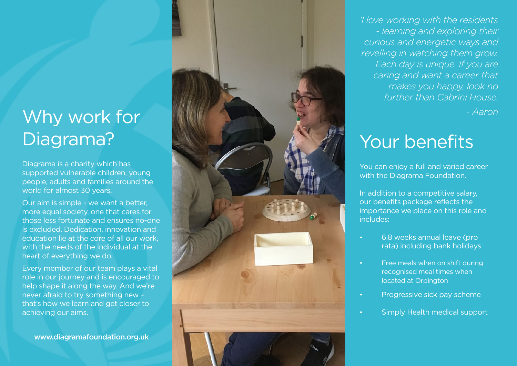# Why work for

Diagrama is a charity which has supported vulnerable children, young people, adults and families around the world for almost 30 years.

Our aim is simple - we want a better, more equal society, one that cares for those less fortunate and ensures no-one is excluded. Dedication, innovation and education lie at the core of all our work, with the needs of the individual at the heart of everything we do.

Every member of our team plays a vital role in our journey and is encouraged to help shape it along the way. And we're never afraid to try something new – that's how we learn and get closer to achieving our aims.

www.diagramafoundation.org.uk



*'I love working with the residents - learning and exploring their curious and energetic ways and revelling in watching them grow. Each day is unique. If you are caring and want a career that makes you happy, look no further than Cabrini House.*

*- Aaron*

You can enjoy a full and varied career with the Diagrama Foundation.

In addition to a competitive salary, our benefits package reflects the importance we place on this role and includes:

- 6.8 weeks annual leave (pro rata) including bank holidays
- Free meals when on shift during recognised meal times when located at Orpington
- Progressive sick pay scheme
- Simply Health medical support